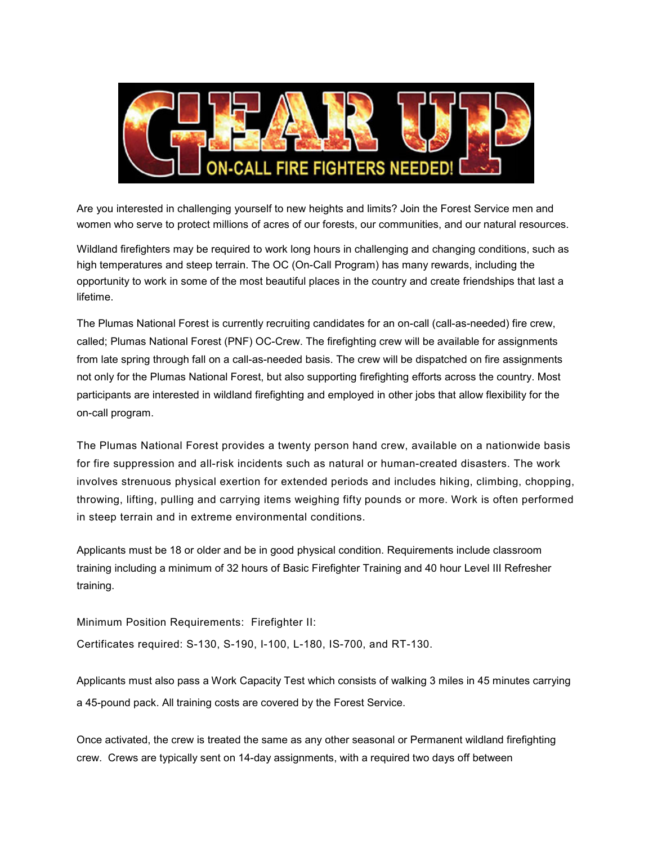

Are you interested in challenging yourself to new heights and limits? Join the Forest Service men and women who serve to protect millions of acres of our forests, our communities, and our natural resources.

Wildland firefighters may be required to work long hours in challenging and changing conditions, such as high temperatures and steep terrain. The OC (On-Call Program) has many rewards, including the opportunity to work in some of the most beautiful places in the country and create friendships that last a lifetime.

The Plumas National Forest is currently recruiting candidates for an on-call (call-as-needed) fire crew, called; Plumas National Forest (PNF) OC-Crew. The firefighting crew will be available for assignments from late spring through fall on a call-as-needed basis. The crew will be dispatched on fire assignments not only for the Plumas National Forest, but also supporting firefighting efforts across the country. Most participants are interested in wildland firefighting and employed in other jobs that allow flexibility for the on-call program.

The Plumas National Forest provides a twenty person hand crew, available on a nationwide basis for fire suppression and all-risk incidents such as natural or human-created disasters. The work involves strenuous physical exertion for extended periods and includes hiking, climbing, chopping, throwing, lifting, pulling and carrying items weighing fifty pounds or more. Work is often performed in steep terrain and in extreme environmental conditions.

Applicants must be 18 or older and be in good physical condition. Requirements include classroom training including a minimum of 32 hours of Basic Firefighter Training and 40 hour Level III Refresher training.

Minimum Position Requirements: Firefighter II:

Certificates required: S-130, S-190, I-100, L-180, IS-700, and RT-130.

Applicants must also pass a Work Capacity Test which consists of walking 3 miles in 45 minutes carrying a 45-pound pack. All training costs are covered by the Forest Service.

Once activated, the crew is treated the same as any other seasonal or Permanent wildland firefighting crew. Crews are typically sent on 14-day assignments, with a required two days off between